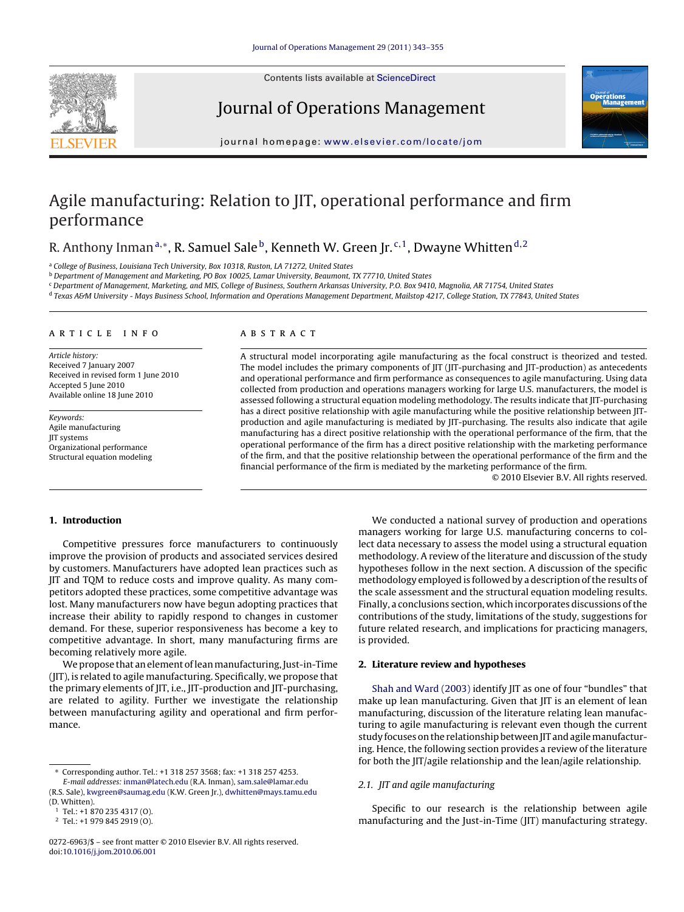Contents lists available at [ScienceDirect](http://www.sciencedirect.com/science/journal/02726963)



# Journal of Operations Management



journal homepage: [www.elsevier.com/locate/jom](http://www.elsevier.com/locate/jom)

# Agile manufacturing: Relation to JIT, operational performance and firm performance

# R. Anthony Inman<sup>a,∗</sup>, R. Samuel Sale<sup>b</sup>, Kenneth W. Green Jr.<sup>c,1</sup>, Dwayne Whitten<sup>d,2</sup>

<sup>a</sup> College of Business, Louisiana Tech University, Box 10318, Ruston, LA 71272, United States

<sup>b</sup> Department of Management and Marketing, PO Box 10025, Lamar University, Beaumont, TX 77710, United States

<sup>c</sup> Department of Management, Marketing, and MIS, College of Business, Southern Arkansas University, P.O. Box 9410, Magnolia, AR 71754, United States

<sup>d</sup> Texas A&M University - Mays Business School, Information and Operations Management Department, Mailstop 4217, College Station, TX 77843, United States

#### article info

Article history: Received 7 January 2007 Received in revised form 1 June 2010 Accepted 5 June 2010 Available online 18 June 2010

Keywords: Agile manufacturing JIT systems Organizational performance Structural equation modeling

### ABSTRACT

A structural model incorporating agile manufacturing as the focal construct is theorized and tested. The model includes the primary components of JIT (JIT-purchasing and JIT-production) as antecedents and operational performance and firm performance as consequences to agile manufacturing. Using data collected from production and operations managers working for large U.S. manufacturers, the model is assessed following a structural equation modeling methodology. The results indicate that JIT-purchasing has a direct positive relationship with agile manufacturing while the positive relationship between JITproduction and agile manufacturing is mediated by JIT-purchasing. The results also indicate that agile manufacturing has a direct positive relationship with the operational performance of the firm, that the operational performance of the firm has a direct positive relationship with the marketing performance of the firm, and that the positive relationship between the operational performance of the firm and the financial performance of the firm is mediated by the marketing performance of the firm.

© 2010 Elsevier B.V. All rights reserved.

### **1. Introduction**

Competitive pressures force manufacturers to continuously improve the provision of products and associated services desired by customers. Manufacturers have adopted lean practices such as JIT and TQM to reduce costs and improve quality. As many competitors adopted these practices, some competitive advantage was lost. Many manufacturers now have begun adopting practices that increase their ability to rapidly respond to changes in customer demand. For these, superior responsiveness has become a key to competitive advantage. In short, many manufacturing firms are becoming relatively more agile.

We propose that an element of leanmanufacturing, Just-in-Time (JIT), is related to agile manufacturing. Specifically, we propose that the primary elements of JIT, i.e., JIT-production and JIT-purchasing, are related to agility. Further we investigate the relationship between manufacturing agility and operational and firm performance.

We conducted a national survey of production and operations managers working for large U.S. manufacturing concerns to collect data necessary to assess the model using a structural equation methodology. A review of the literature and discussion of the study hypotheses follow in the next section. A discussion of the specific methodology employed is followed by a description of the results of the scale assessment and the structural equation modeling results. Finally, a conclusions section, which incorporates discussions of the contributions of the study, limitations of the study, suggestions for future related research, and implications for practicing managers, is provided.

## **2. Literature review and hypotheses**

[Shah and Ward \(2003\)](#page--1-0) identify JIT as one of four "bundles" that make up lean manufacturing. Given that JIT is an element of lean manufacturing, discussion of the literature relating lean manufacturing to agile manufacturing is relevant even though the current study focuses on the relationship between JIT and agilemanufacturing. Hence, the following section provides a review of the literature for both the JIT/agile relationship and the lean/agile relationship.

## 2.1. JIT and agile manufacturing

Specific to our research is the relationship between agile manufacturing and the Just-in-Time (JIT) manufacturing strategy.

<sup>∗</sup> Corresponding author. Tel.: +1 318 257 3568; fax: +1 318 257 4253. E-mail addresses: [inman@latech.edu](mailto:inman@latech.edu) (R.A. Inman), [sam.sale@lamar.edu](mailto:sam.sale@lamar.edu) (R.S. Sale), [kwgreen@saumag.edu](mailto:kwgreen@saumag.edu) (K.W. Green Jr.), [dwhitten@mays.tamu.edu](mailto:dwhitten@mays.tamu.edu) (D. Whitten).

<sup>1</sup> Tel.: +1 870 235 4317 (O).

<sup>2</sup> Tel.: +1 979 845 2919 (O).

<sup>0272-6963/\$ –</sup> see front matter © 2010 Elsevier B.V. All rights reserved. doi:[10.1016/j.jom.2010.06.001](dx.doi.org/10.1016/j.jom.2010.06.001)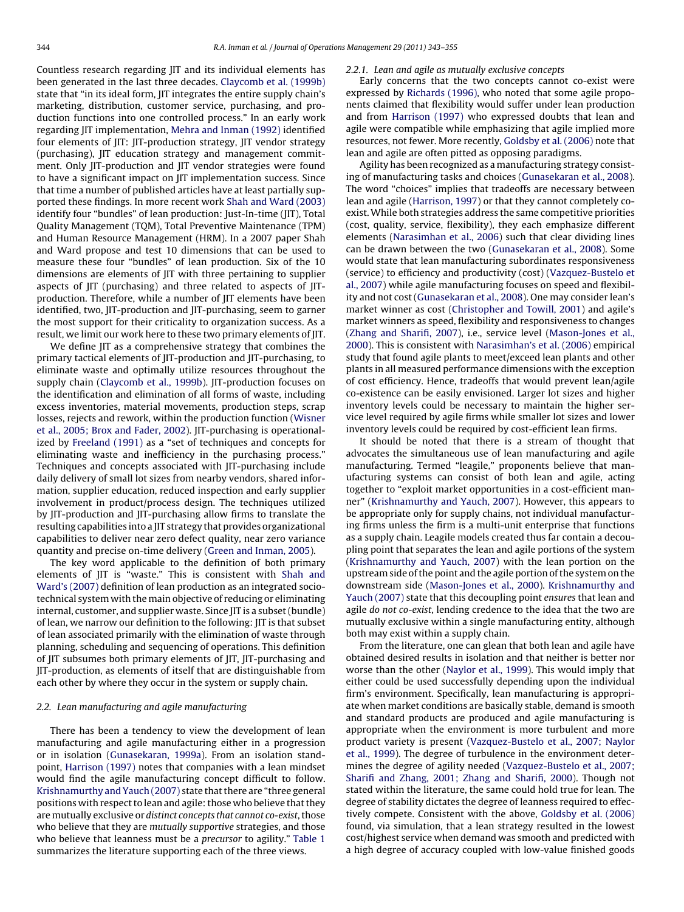Countless research regarding JIT and its individual elements has been generated in the last three decades. [Claycomb et al. \(1999b\)](#page--1-0) state that "in its ideal form, JIT integrates the entire supply chain's marketing, distribution, customer service, purchasing, and production functions into one controlled process." In an early work regarding JIT implementation, [Mehra and Inman \(1992\)](#page--1-0) identified four elements of JIT: JIT-production strategy, JIT vendor strategy (purchasing), JIT education strategy and management commitment. Only JIT-production and JIT vendor strategies were found to have a significant impact on JIT implementation success. Since that time a number of published articles have at least partially supported these findings. In more recent work [Shah and Ward \(2003\)](#page--1-0) identify four "bundles" of lean production: Just-In-time (JIT), Total Quality Management (TQM), Total Preventive Maintenance (TPM) and Human Resource Management (HRM). In a 2007 paper Shah and Ward propose and test 10 dimensions that can be used to measure these four "bundles" of lean production. Six of the 10 dimensions are elements of JIT with three pertaining to supplier aspects of JIT (purchasing) and three related to aspects of JITproduction. Therefore, while a number of JIT elements have been identified, two, JIT-production and JIT-purchasing, seem to garner the most support for their criticality to organization success. As a result, we limit our work here to these two primary elements of JIT.

We define JIT as a comprehensive strategy that combines the primary tactical elements of JIT-production and JIT-purchasing, to eliminate waste and optimally utilize resources throughout the supply chain [\(Claycomb et al., 1999b\).](#page--1-0) JIT-production focuses on the identification and elimination of all forms of waste, including excess inventories, material movements, production steps, scrap losses, rejects and rework, within the production function ([Wisner](#page--1-0) [et al., 2005; Brox and Fader, 2002\).](#page--1-0) JIT-purchasing is operationalized by [Freeland \(1991\)](#page--1-0) as a "set of techniques and concepts for eliminating waste and inefficiency in the purchasing process." Techniques and concepts associated with JIT-purchasing include daily delivery of small lot sizes from nearby vendors, shared information, supplier education, reduced inspection and early supplier involvement in product/process design. The techniques utilized by JIT-production and JIT-purchasing allow firms to translate the resulting capabilities into a JIT strategy that provides organizational capabilities to deliver near zero defect quality, near zero variance quantity and precise on-time delivery ([Green and Inman, 2005\).](#page--1-0)

The key word applicable to the definition of both primary elements of JIT is "waste." This is consistent with [Shah and](#page--1-0) [Ward's \(2007\)](#page--1-0) definition of lean production as an integrated sociotechnical system with the main objective of reducing or eliminating internal, customer, and supplier waste. Since JIT is a subset (bundle) of lean, we narrow our definition to the following: JIT is that subset of lean associated primarily with the elimination of waste through planning, scheduling and sequencing of operations. This definition of JIT subsumes both primary elements of JIT, JIT-purchasing and JIT-production, as elements of itself that are distinguishable from each other by where they occur in the system or supply chain.

#### 2.2. Lean manufacturing and agile manufacturing

There has been a tendency to view the development of lean manufacturing and agile manufacturing either in a progression or in isolation ([Gunasekaran, 1999a\).](#page--1-0) From an isolation standpoint, [Harrison \(1997\)](#page--1-0) notes that companies with a lean mindset would find the agile manufacturing concept difficult to follow. [Krishnamurthy and Yauch \(2007\)](#page--1-0) state that there are "three general positions with respect to lean and agile: those who believe that they are mutually exclusive or distinct concepts that cannot co-exist, those who believe that they are mutually supportive strategies, and those who believe that leanness must be a *precursor* to agility." [Table 1](#page--1-0) summarizes the literature supporting each of the three views.

### 2.2.1. Lean and agile as mutually exclusive concepts

Early concerns that the two concepts cannot co-exist were expressed by [Richards \(1996\), w](#page--1-0)ho noted that some agile proponents claimed that flexibility would suffer under lean production and from [Harrison \(1997\)](#page--1-0) who expressed doubts that lean and agile were compatible while emphasizing that agile implied more resources, not fewer. More recently, [Goldsby et al. \(2006\)](#page--1-0) note that lean and agile are often pitted as opposing paradigms.

Agility has been recognized as a manufacturing strategy consisting of manufacturing tasks and choices ([Gunasekaran et al., 2008\).](#page--1-0) The word "choices" implies that tradeoffs are necessary between lean and agile [\(Harrison, 1997\) o](#page--1-0)r that they cannot completely coexist.While both strategies address the same competitive priorities (cost, quality, service, flexibility), they each emphasize different elements [\(Narasimhan et al., 2006\)](#page--1-0) such that clear dividing lines can be drawn between the two ([Gunasekaran et al., 2008\).](#page--1-0) Some would state that lean manufacturing subordinates responsiveness (service) to efficiency and productivity (cost) [\(Vazquez-Bustelo et](#page--1-0) [al., 2007\)](#page--1-0) while agile manufacturing focuses on speed and flexibility and not cost ([Gunasekaran et al., 2008\).](#page--1-0) One may consider lean's market winner as cost ([Christopher and Towill, 2001\)](#page--1-0) and agile's market winners as speed, flexibility and responsiveness to changes [\(Zhang and Sharifi, 2007\),](#page--1-0) i.e., service level ([Mason-Jones et al.,](#page--1-0) [2000\).](#page--1-0) This is consistent with [Narasimhan's et al. \(2006\)](#page--1-0) empirical study that found agile plants to meet/exceed lean plants and other plants in all measured performance dimensions with the exception of cost efficiency. Hence, tradeoffs that would prevent lean/agile co-existence can be easily envisioned. Larger lot sizes and higher inventory levels could be necessary to maintain the higher service level required by agile firms while smaller lot sizes and lower inventory levels could be required by cost-efficient lean firms.

It should be noted that there is a stream of thought that advocates the simultaneous use of lean manufacturing and agile manufacturing. Termed "leagile," proponents believe that manufacturing systems can consist of both lean and agile, acting together to "exploit market opportunities in a cost-efficient manner" ([Krishnamurthy and Yauch, 2007\).](#page--1-0) However, this appears to be appropriate only for supply chains, not individual manufacturing firms unless the firm is a multi-unit enterprise that functions as a supply chain. Leagile models created thus far contain a decoupling point that separates the lean and agile portions of the system [\(Krishnamurthy and Yauch, 2007\)](#page--1-0) with the lean portion on the upstream side of the point and the agile portion of the system on the downstream side [\(Mason-Jones et al., 2000\).](#page--1-0) [Krishnamurthy and](#page--1-0) [Yauch \(2007\)](#page--1-0) state that this decoupling point ensures that lean and agile do not co-exist, lending credence to the idea that the two are mutually exclusive within a single manufacturing entity, although both may exist within a supply chain.

From the literature, one can glean that both lean and agile have obtained desired results in isolation and that neither is better nor worse than the other ([Naylor et al., 1999\).](#page--1-0) This would imply that either could be used successfully depending upon the individual firm's environment. Specifically, lean manufacturing is appropriate when market conditions are basically stable, demand is smooth and standard products are produced and agile manufacturing is appropriate when the environment is more turbulent and more product variety is present ([Vazquez-Bustelo et al., 2007; Naylor](#page--1-0) [et al., 1999\).](#page--1-0) The degree of turbulence in the environment determines the degree of agility needed ([Vazquez-Bustelo et al., 2007;](#page--1-0) [Sharifi and Zhang, 2001; Zhang and Sharifi, 2000\).](#page--1-0) Though not stated within the literature, the same could hold true for lean. The degree of stability dictates the degree of leanness required to effectively compete. Consistent with the above, [Goldsby et al. \(2006\)](#page--1-0) found, via simulation, that a lean strategy resulted in the lowest cost/highest service when demand was smooth and predicted with a high degree of accuracy coupled with low-value finished goods